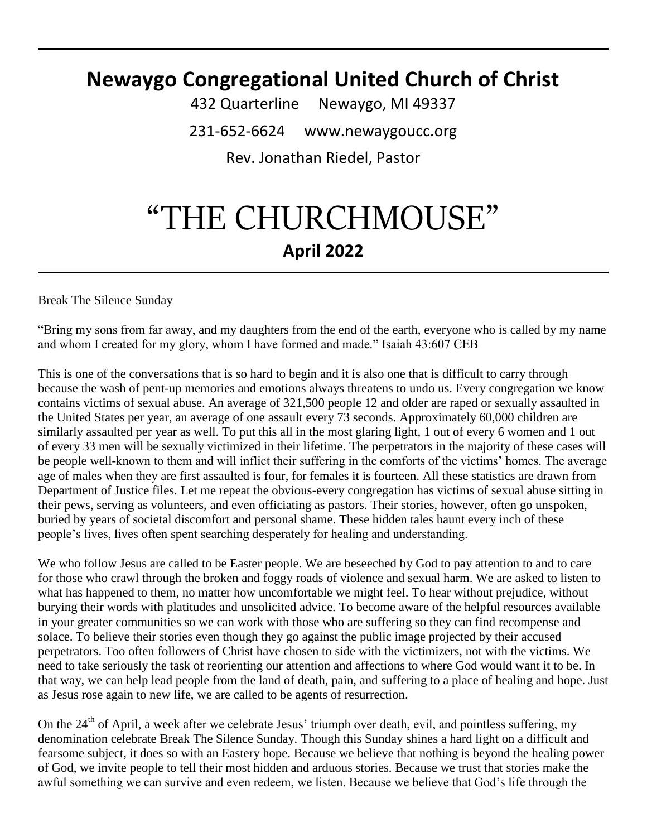# **Newaygo Congregational United Church of Christ**

432 Quarterline Newaygo, MI 49337 231-652-6624 www.newaygoucc.org Rev. Jonathan Riedel, Pastor

# "THE CHURCHMOUSE" **April 2022**

Break The Silence Sunday

"Bring my sons from far away, and my daughters from the end of the earth, everyone who is called by my name and whom I created for my glory, whom I have formed and made." Isaiah 43:607 CEB

This is one of the conversations that is so hard to begin and it is also one that is difficult to carry through because the wash of pent-up memories and emotions always threatens to undo us. Every congregation we know contains victims of sexual abuse. An average of 321,500 people 12 and older are raped or sexually assaulted in the United States per year, an average of one assault every 73 seconds. Approximately 60,000 children are similarly assaulted per year as well. To put this all in the most glaring light, 1 out of every 6 women and 1 out of every 33 men will be sexually victimized in their lifetime. The perpetrators in the majority of these cases will be people well-known to them and will inflict their suffering in the comforts of the victims' homes. The average age of males when they are first assaulted is four, for females it is fourteen. All these statistics are drawn from Department of Justice files. Let me repeat the obvious-every congregation has victims of sexual abuse sitting in their pews, serving as volunteers, and even officiating as pastors. Their stories, however, often go unspoken, buried by years of societal discomfort and personal shame. These hidden tales haunt every inch of these people's lives, lives often spent searching desperately for healing and understanding.

We who follow Jesus are called to be Easter people. We are beseeched by God to pay attention to and to care for those who crawl through the broken and foggy roads of violence and sexual harm. We are asked to listen to what has happened to them, no matter how uncomfortable we might feel. To hear without prejudice, without burying their words with platitudes and unsolicited advice. To become aware of the helpful resources available in your greater communities so we can work with those who are suffering so they can find recompense and solace. To believe their stories even though they go against the public image projected by their accused perpetrators. Too often followers of Christ have chosen to side with the victimizers, not with the victims. We need to take seriously the task of reorienting our attention and affections to where God would want it to be. In that way, we can help lead people from the land of death, pain, and suffering to a place of healing and hope. Just as Jesus rose again to new life, we are called to be agents of resurrection.

On the 24<sup>th</sup> of April, a week after we celebrate Jesus' triumph over death, evil, and pointless suffering, my denomination celebrate Break The Silence Sunday. Though this Sunday shines a hard light on a difficult and fearsome subject, it does so with an Eastery hope. Because we believe that nothing is beyond the healing power of God, we invite people to tell their most hidden and arduous stories. Because we trust that stories make the awful something we can survive and even redeem, we listen. Because we believe that God's life through the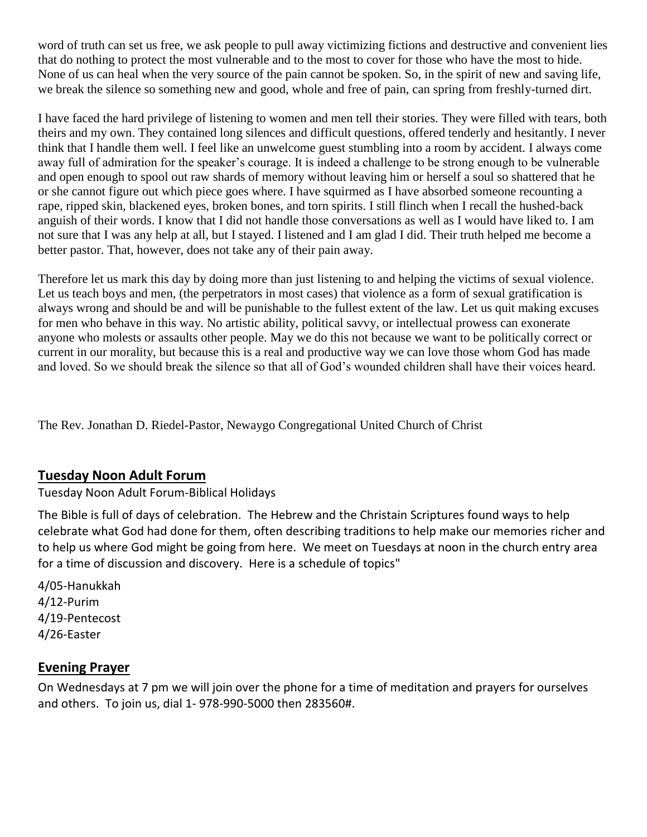word of truth can set us free, we ask people to pull away victimizing fictions and destructive and convenient lies that do nothing to protect the most vulnerable and to the most to cover for those who have the most to hide. None of us can heal when the very source of the pain cannot be spoken. So, in the spirit of new and saving life, we break the silence so something new and good, whole and free of pain, can spring from freshly-turned dirt.

I have faced the hard privilege of listening to women and men tell their stories. They were filled with tears, both theirs and my own. They contained long silences and difficult questions, offered tenderly and hesitantly. I never think that I handle them well. I feel like an unwelcome guest stumbling into a room by accident. I always come away full of admiration for the speaker's courage. It is indeed a challenge to be strong enough to be vulnerable and open enough to spool out raw shards of memory without leaving him or herself a soul so shattered that he or she cannot figure out which piece goes where. I have squirmed as I have absorbed someone recounting a rape, ripped skin, blackened eyes, broken bones, and torn spirits. I still flinch when I recall the hushed-back anguish of their words. I know that I did not handle those conversations as well as I would have liked to. I am not sure that I was any help at all, but I stayed. I listened and I am glad I did. Their truth helped me become a better pastor. That, however, does not take any of their pain away.

Therefore let us mark this day by doing more than just listening to and helping the victims of sexual violence. Let us teach boys and men, (the perpetrators in most cases) that violence as a form of sexual gratification is always wrong and should be and will be punishable to the fullest extent of the law. Let us quit making excuses for men who behave in this way. No artistic ability, political savvy, or intellectual prowess can exonerate anyone who molests or assaults other people. May we do this not because we want to be politically correct or current in our morality, but because this is a real and productive way we can love those whom God has made and loved. So we should break the silence so that all of God's wounded children shall have their voices heard.

The Rev. Jonathan D. Riedel-Pastor, Newaygo Congregational United Church of Christ

#### **Tuesday Noon Adult Forum**

Tuesday Noon Adult Forum-Biblical Holidays

The Bible is full of days of celebration. The Hebrew and the Christain Scriptures found ways to help celebrate what God had done for them, often describing traditions to help make our memories richer and to help us where God might be going from here. We meet on Tuesdays at noon in the church entry area for a time of discussion and discovery. Here is a schedule of topics"

4/05-Hanukkah 4/12-Purim 4/19-Pentecost 4/26-Easter

#### **Evening Prayer**

On Wednesdays at 7 pm we will join over the phone for a time of meditation and prayers for ourselves and others. To join us, dial 1- 978-990-5000 then 283560#.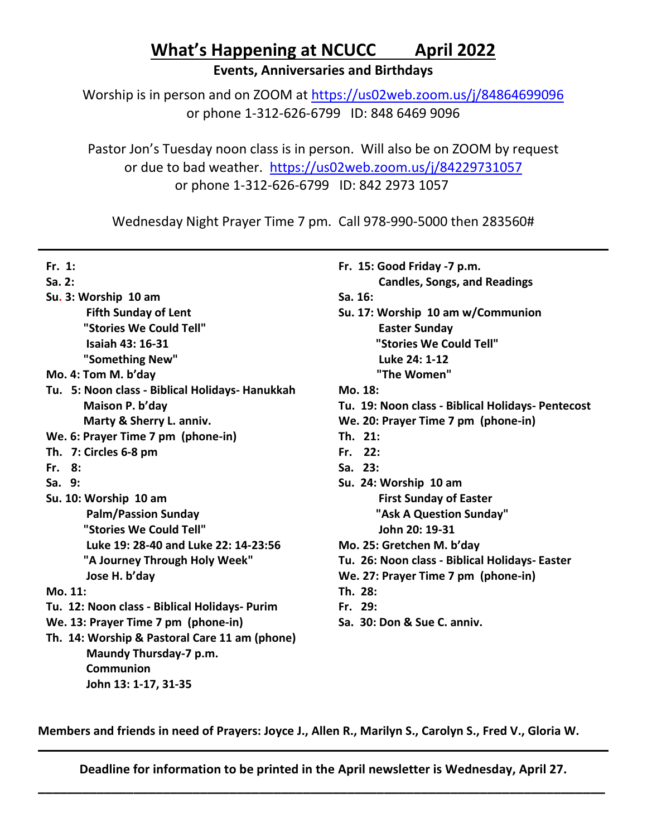# **What's Happening at NCUCC April 2022**

**Events, Anniversaries and Birthdays**

Worship is in person and on ZOOM at<https://us02web.zoom.us/j/84864699096> or phone 1-312-626-6799 ID: 848 6469 9096

Pastor Jon's Tuesday noon class is in person. Will also be on ZOOM by request or due to bad weather. <https://us02web.zoom.us/j/84229731057> or phone 1-312-626-6799 ID: 842 2973 1057

Wednesday Night Prayer Time 7 pm. Call 978-990-5000 then 283560#

| Fr. 1:                                          | Fr. 15: Good Friday -7 p.m.                       |
|-------------------------------------------------|---------------------------------------------------|
| Sa.2:                                           | <b>Candles, Songs, and Readings</b>               |
| Su. 3: Worship 10 am                            | Sa. 16:                                           |
| <b>Fifth Sunday of Lent</b>                     | Su. 17: Worship 10 am w/Communion                 |
| "Stories We Could Tell"                         | <b>Easter Sunday</b>                              |
| <b>Isaiah 43: 16-31</b>                         | "Stories We Could Tell"                           |
| "Something New"                                 | Luke 24: 1-12                                     |
| Mo. 4: Tom M. b'day                             | "The Women"                                       |
| Tu. 5: Noon class - Biblical Holidays- Hanukkah | Mo. 18:                                           |
| Maison P. b'day                                 | Tu. 19: Noon class - Biblical Holidays- Pentecost |
| Marty & Sherry L. anniv.                        | We. 20: Prayer Time 7 pm (phone-in)               |
| We. 6: Prayer Time 7 pm (phone-in)              | Th. 21:                                           |
| Th. 7: Circles 6-8 pm                           | Fr. 22:                                           |
| Fr. 8:                                          | Sa. 23:                                           |
| Sa. 9:                                          | Su. 24: Worship 10 am                             |
| Su. 10: Worship 10 am                           | <b>First Sunday of Easter</b>                     |
| <b>Palm/Passion Sunday</b>                      | "Ask A Question Sunday"                           |
| "Stories We Could Tell"                         | John 20: 19-31                                    |
| Luke 19: 28-40 and Luke 22: 14-23:56            | Mo. 25: Gretchen M. b'day                         |
| "A Journey Through Holy Week"                   | Tu. 26: Noon class - Biblical Holidays- Easter    |
| Jose H. b'day                                   | We. 27: Prayer Time 7 pm (phone-in)               |
| Mo. 11:                                         | Th. 28:                                           |
| Tu. 12: Noon class - Biblical Holidays- Purim   | Fr. 29:                                           |
| We. 13: Prayer Time 7 pm (phone-in)             | Sa. 30: Don & Sue C. anniv.                       |
| Th. 14: Worship & Pastoral Care 11 am (phone)   |                                                   |
| Maundy Thursday-7 p.m.                          |                                                   |
| <b>Communion</b>                                |                                                   |
| John 13: 1-17, 31-35                            |                                                   |

**Members and friends in need of Prayers: Joyce J., Allen R., Marilyn S., Carolyn S., Fred V., Gloria W.**

**Deadline for information to be printed in the April newsletter is Wednesday, April 27. \_\_\_\_\_\_\_\_\_\_\_\_\_\_\_\_\_\_\_\_\_\_\_\_\_\_\_\_\_\_\_\_\_\_\_\_\_\_\_\_\_\_\_\_\_\_\_\_\_\_\_\_\_\_\_\_\_\_\_\_\_\_\_\_\_\_\_\_\_\_\_\_\_\_\_\_\_**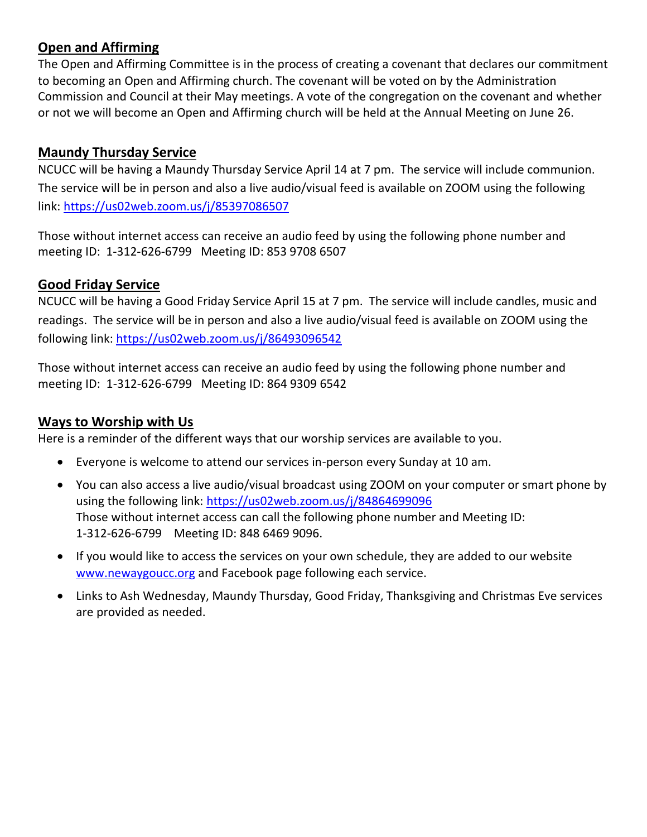#### **Open and Affirming**

The Open and Affirming Committee is in the process of creating a covenant that declares our commitment to becoming an Open and Affirming church. The covenant will be voted on by the Administration Commission and Council at their May meetings. A vote of the congregation on the covenant and whether or not we will become an Open and Affirming church will be held at the Annual Meeting on June 26.

#### **Maundy Thursday Service**

NCUCC will be having a Maundy Thursday Service April 14 at 7 pm. The service will include communion. The service will be in person and also a live audio/visual feed is available on ZOOM using the following link:<https://us02web.zoom.us/j/85397086507>

Those without internet access can receive an audio feed by using the following phone number and meeting ID: 1-312-626-6799 Meeting ID: 853 9708 6507

#### **Good Friday Service**

NCUCC will be having a Good Friday Service April 15 at 7 pm. The service will include candles, music and readings. The service will be in person and also a live audio/visual feed is available on ZOOM using the following link: <https://us02web.zoom.us/j/86493096542>

Those without internet access can receive an audio feed by using the following phone number and meeting ID: 1-312-626-6799 Meeting ID: 864 9309 6542

#### **Ways to Worship with Us**

Here is a reminder of the different ways that our worship services are available to you.

- Everyone is welcome to attend our services in-person every Sunday at 10 am.
- You can also access a live audio/visual broadcast using ZOOM on your computer or smart phone by using the following link:<https://us02web.zoom.us/j/84864699096> Those without internet access can call the following phone number and Meeting ID: 1-312-626-6799 Meeting ID: 848 6469 9096.
- If you would like to access the services on your own schedule, they are added to our website [www.newaygoucc.org](http://www.newaygoucc.org/) and Facebook page following each service.
- Links to Ash Wednesday, Maundy Thursday, Good Friday, Thanksgiving and Christmas Eve services are provided as needed.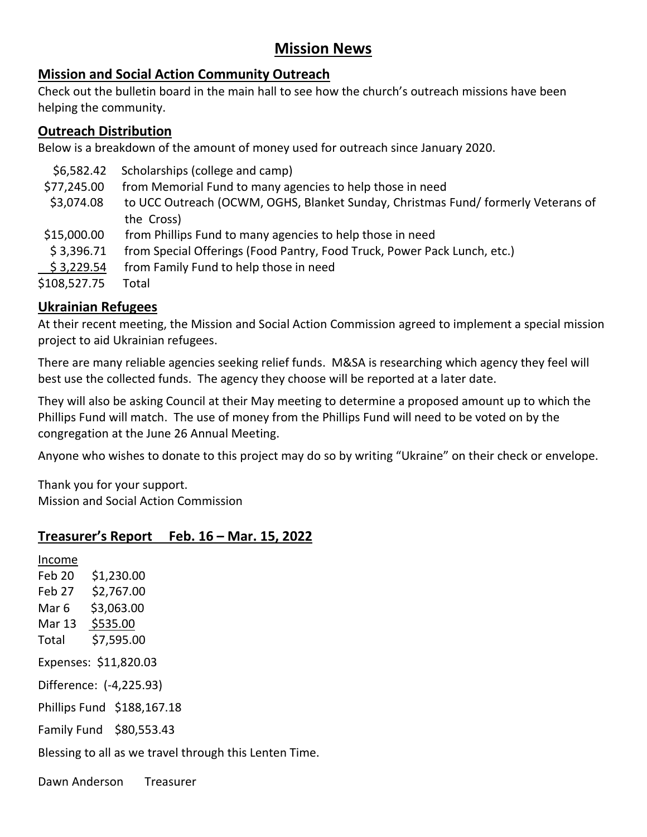### **Mission News**

#### **Mission and Social Action Community Outreach**

Check out the bulletin board in the main hall to see how the church's outreach missions have been helping the community.

#### **Outreach Distribution**

Below is a breakdown of the amount of money used for outreach since January 2020.

| \$6,582.42   | Scholarships (college and camp)                                                  |
|--------------|----------------------------------------------------------------------------------|
| \$77,245.00  | from Memorial Fund to many agencies to help those in need                        |
| \$3,074.08   | to UCC Outreach (OCWM, OGHS, Blanket Sunday, Christmas Fund/formerly Veterans of |
|              | the Cross)                                                                       |
| \$15,000.00  | from Phillips Fund to many agencies to help those in need                        |
| \$3,396.71   | from Special Offerings (Food Pantry, Food Truck, Power Pack Lunch, etc.)         |
| \$3,229.54   | from Family Fund to help those in need                                           |
| \$108,527.75 | Total                                                                            |
|              |                                                                                  |

#### **Ukrainian Refugees**

At their recent meeting, the Mission and Social Action Commission agreed to implement a special mission project to aid Ukrainian refugees.

There are many reliable agencies seeking relief funds. M&SA is researching which agency they feel will best use the collected funds. The agency they choose will be reported at a later date.

They will also be asking Council at their May meeting to determine a proposed amount up to which the Phillips Fund will match. The use of money from the Phillips Fund will need to be voted on by the congregation at the June 26 Annual Meeting.

Anyone who wishes to donate to this project may do so by writing "Ukraine" on their check or envelope.

Thank you for your support. Mission and Social Action Commission

#### **Treasurer's Report Feb. 16 – Mar. 15, 2022**

Income Feb 20 \$1,230.00 Feb 27 \$2,767.00 Mar 6 \$3,063.00 Mar 13 \$535.00 Total \$7,595.00 Expenses: \$11,820.03 Difference: (-4,225.93) Phillips Fund \$188,167.18 Family Fund \$80,553.43 Blessing to all as we travel through this Lenten Time.

Dawn Anderson Treasurer